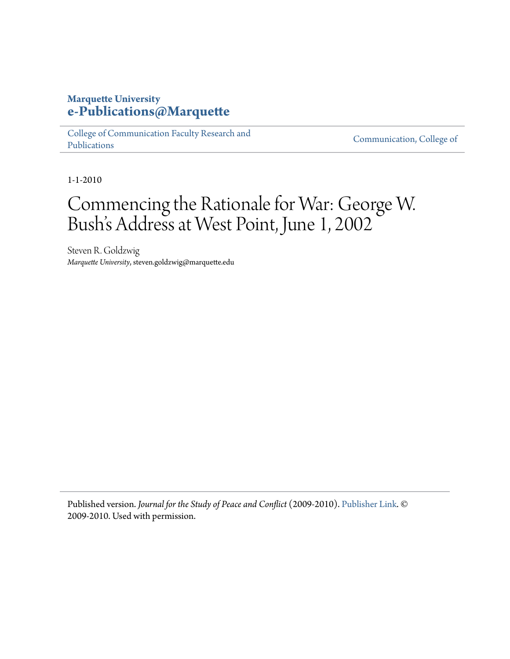# **Marquette University [e-Publications@Marquette](https://epublications.marquette.edu)**

[College of Communication Faculty Research and](https://epublications.marquette.edu/comm_fac) [Publications](https://epublications.marquette.edu/comm_fac)

[Communication, College of](https://epublications.marquette.edu/communication)

1-1-2010

# Commencing the Rationale for War: George W. Bush's Address at West Point, June 1, 2002

Steven R. Goldzwig *Marquette University*, steven.goldzwig@marquette.edu

Published version. *Journal for the Study of Peace and Conflict* (2009-2010). [Publisher Link](https://www.uwsp.edu/cols-ap/WIPCS/Pages/journal.aspx). © 2009-2010. Used with permission.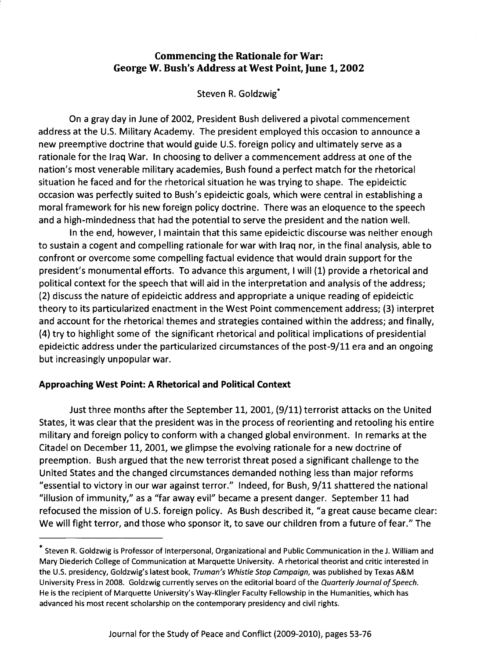# Commencing the Rationale for War: George W. Bush's Address at West Point, June 1,2002

Steven R. Goldzwig\*

On a gray day in June of 2002, President Bush delivered a pivotal commencement address at the U.S. Military Academy. The president employed this occasion to announce a new preemptive doctrine that would guide U.S. foreign policy and ultimately serve as a rationale for the Iraq War. In choosing to deliver a commencement address at one of the nation's most venerable military academies, Bush found a perfect match for the rhetorical situation he faced and for the rhetorical situation he was trying to shape. The epideictic occasion was perfectly suited to Bush's epideictic goals, which were central in establishing a moral framework for his new foreign policy doctrine. There was an eloquence to the speech and a high-mindedness that had the potential to serve the president and the nation well.

In the end, however, I maintain that this same epideictic discourse was neither enough to sustain a cogent and compelling rationale for war with Iraq nor, in the final analysis, able to confront or overcome some compelling factual evidence that would drain support for the president's monumental efforts. To advance this argument, I will (1) provide a rhetorical and political context for the speech that will aid in the interpretation and analysis of the address; (2) discuss the nature of epideictic address and appropriate a unique reading of epideictic theory to its particularized enactment in the West Point commencement address; (3) interpret and account for the rhetorical themes and strategies contained within the address; and finally, (4) try to highlight some of the significant rhetorical and political implications of presidential epideictic address under the particularized circumstances of the post-9/11 era and an ongoing but increasingly unpopular war.

# Approaching West Point: A Rhetorical and Political Context

Just three months after the September 11, 2001, (9/11) terrorist attacks on the United States, it was clear that the president was in the process of reorienting and retooling his entire military and foreign policy to conform with a changed global environment. In remarks at the Citadel on December 11, 2001, we glimpse the evolving rationale for a new doctrine of preemption. Bush argued that the new terrorist threat posed a significant challenge to the United States and the changed circumstances demanded nothing less than major reforms "essential to victory in our war against terror." Indeed, for Bush, 9/11 shattered the national "illusion of immunity," as a "far away evil" became a present danger. September 11 had refocused the mission of U.S. foreign policy. As Bush described it, "a great cause became clear: We will fight terror, and those who sponsor it, to save our children from a future of fear." The

<sup>\*</sup> Steven R. Goldzwig is Professor of Interpersonal, Organizational and Public Communication in the J. William and Mary Diederich College of Communication at Marquette University. A rhetorical theorist and critic interested in the U.S. presidency, Goldzwig's latest book, Truman's Whistle Stop Campaign, was published by Texas A&M University Press in 2008. Goldzwig currently serves on the editorial board of the Quarterly Journal of Speech. He is the recipient of Marquette University's Way-Klingler Faculty Fellowship in the Humanities, which has advanced his most recent scholarship on the contemporary presidency and civil rights.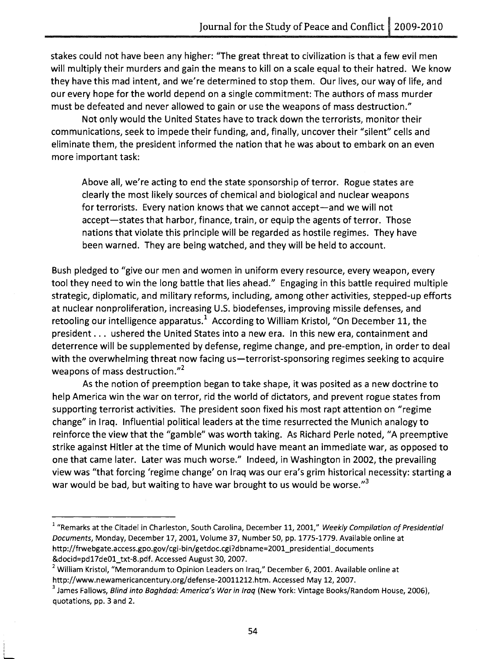stakes could not have been any higher: "The great threat to civilization is that a few evil men will multiply their murders and gain the means to kill on a scale equal to their hatred. We know they have this mad intent, and we're determined to stop them. Our lives, our way of life, and our every hope for the world depend on a single commitment: The authors of mass murder must be defeated and never allowed to gain or use the weapons of mass destruction."

Not only would the United States have to track down the terrorists, monitor their communications, seek to impede their funding, and, finally, uncover their "silent" cells and eliminate them, the president informed the nation that he was about to embark on an even more important task:

Above all, we're acting to end the state sponsorship of terror. Rogue states are clearly the most likely sources of chemical and biological and nuclear weapons for terrorists. Every nation knows that we cannot accept—and we will not accept—states that harbor, finance, train, or equip the agents of terror. Those nations that violate this principle will be regarded as hostile regimes. They have been warned. They are being watched, and they will be held to account.

Bush pledged to "give our men and women in uniform every resource, every weapon, every tool they need to win the long battle that lies ahead." Engaging in this battle required multiple strategic, diplomatic, and military reforms, including, among other activities, stepped-up efforts at nuclear nonproliferation, increasing U.S. biodefenses, improving missile defenses, and retooling our intelligence apparatus.<sup>1</sup> According to William Kristol, "On December 11, the president ... ushered the United States into a new era. In this new era, containment and deterrence will be supplemented by defense, regime change, and pre-emption, in order to deal with the overwhelming threat now facing us—terrorist-sponsoring regimes seeking to acquire weapons of mass destruction. $^{\prime\prime}^2$ 

As the notion of preemption began to take shape, it was posited as a new doctrine to help America win the war on terror, rid the world of dictators, and prevent rogue states from supporting terrorist activities. The president soon fixed his most rapt attention on "regime change" in Iraq. Influential political leaders at the time resurrected the Munich analogy to reinforce the view that the "gamble" was worth taking. As Richard Perle noted, "A preemptive strike against Hitler at the time of Munich would have meant an immediate war, as opposed to one that came later. Later was much worse." Indeed, in Washington in 2002, the prevailing view was "that forcing 'regime change' on Iraq was our era's grim historical necessity: starting a war would be bad, but waiting to have war brought to us would be worse."<sup>3</sup>

 $\frac{1}{2}$ 

<sup>&</sup>lt;sup>1</sup> "Remarks at the Citadel in Charleston, South Carolina, December 11, 2001," Weekly Compilation of Presidential Documents, Monday, December 17, 2001, Volume 37, Number 50, pp. 1775-1779. Available online at http://frwebgate.access.gpo.gov/cgi-bin/getdoc.cgi?dbname=2001\_presidential\_documents &docid=pd17deOl\_txt-S.pdf. Accessed August 30,2007.

<sup>&</sup>lt;sup>2</sup> William Kristol, "Memorandum to Opinion Leaders on Iraq," December 6, 2001. Available online at http://www.newamericancentury.org/defense-20011212.htm. Accessed May 12, 2007.

<sup>&</sup>lt;sup>3</sup> James Fallows, *Blind into Baghdad: America's War in Iraq* (New York: Vintage Books/Random House, 2006), quotations, pp. 3 and 2.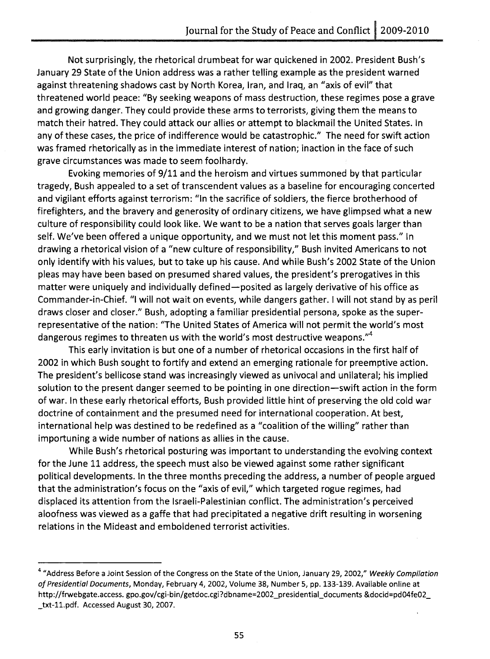Not surprisingly, the rhetorical drumbeat for war quickened in 2002. President Bush's January 29 State of the Union address was a rather telling example as the president warned against threatening shadows cast by North Korea, Iran, and Iraq, an "axis of evil" that threatened world peace: "By seeking weapons of mass destruction, these regimes pose a grave and growing danger. They could provide these arms to terrorists, giving them the means to match their hatred. They could attack our allies or attempt to blackmail the United States. In any of these cases, the price of indifference would be catastrophic." The need for swift action was framed rhetorically as in the immediate interest of nation; inaction in the face of such grave circumstances was made to seem foolhardy.

Evoking memories of 9/11 and the heroism and virtues summoned by that particular tragedy, Bush appealed to a set of transcendent values as a baseline for encouraging concerted and vigilant efforts against terrorism: "In the sacrifice of soldiers, the fierce brotherhood of firefighters, and the bravery and generosity of ordinary citizens, we have glimpsed what a new culture of responsibility could look like. We want to be a nation that serves goals larger than self. We've been offered a unique opportunity, and we must not let this moment pass." In drawing a rhetorical vision of a "new culture of responsibility," Bush invited Americans to not only identify with his values, but to take up his cause. And while Bush's 2002 State of the Union pleas may have been based on presumed shared values, the president's prerogatives in this matter were uniquely and individually defined-posited as largely derivative of his office as Commander-in-Chief. "I will not wait on events, while dangers gather. I will not stand by as peril draws closer and closer." Bush, adopting a familiar presidential persona, spoke as the superrepresentative of the nation: "The United States of America will not permit the world's most dangerous regimes to threaten us with the world's most destructive weapons."<sup>4</sup>

This early invitation is but one of a number of rhetorical occasions in the first half of 2002 in which Bush sought to fortify and extend an emerging rationale for preemptive action. The president's bellicose stand was increasingly viewed as univocal and unilateral; his implied solution to the present danger seemed to be pointing in one direction—swift action in the form of war. In these early rhetorical efforts, Bush provided little hint of preserving the old cold war doctrine of containment and the presumed need for international cooperation. At best, international help was destined to be redefined as a "coalition of the willing" rather than importuning a wide number of nations as allies in the cause.

While Bush's rhetorical posturing was important to understanding the evolving context for the June 11 address, the speech must also be viewed against some rather significant political developments. In the three months preceding the address, a number of people argued that the administration's focus on the "axis of evil," which targeted rogue regimes, had displaced its attention from the Israeli-Palestinian conflict. The administration's perceived aloofness was viewed as a gaffe that had precipitated a negative drift resulting in worsening relations in the Mideast and emboldened terrorist activities.

<sup>&</sup>lt;sup>4</sup> "Address Before a Joint Session of the Congress on the State of the Union, January 29, 2002," Weekly Compilation of Presidential Documents, Monday, February 4, 2002, Volume 38, Number 5, pp. 133-139. Available online at http://frwebgate.access.gpo.gov/cgi-bin/getdoc.cgi?dbname=2002\_presidential\_documents &docid=pd04fe02\_ \_ txt-i1.pdf. Accessed August 30, 2007.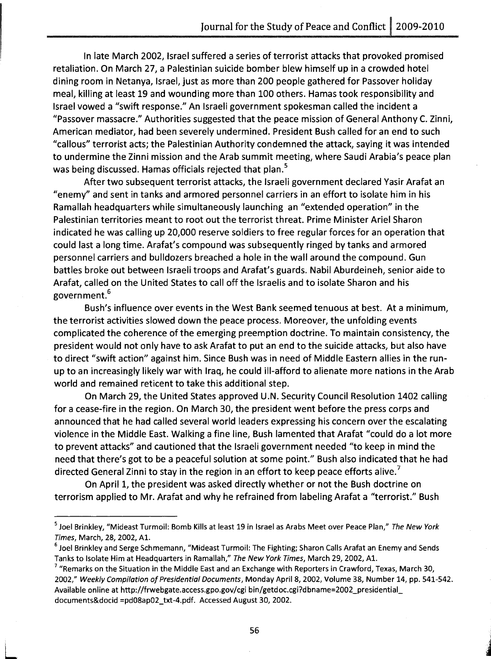In late March 2002, Israel suffered a series of terrorist attacks that provoked promised retaliation. On March 27, a Palestinian suicide bomber blew himself up in a crowded hotel dining room in Netanya, Israel, just as more than 200 people gathered for Passover holiday meal, killing at least 19 and wounding more than 100 others. Hamas took responsibility and Israel vowed a "swift response." An Israeli government spokesman called the incident a "Passover massacre." Authorities suggested that the peace mission of General Anthony C. Zinni, American mediator, had been severely undermined. President Bush called for an end to such "callous" terrorist acts; the Palestinian Authority condemned the attack, saying it was intended to undermine the Zinni mission and the Arab summit meeting, where Saudi Arabia's peace plan was being discussed. Hamas officials rejected that plan.<sup>5</sup>

After two subsequent terrorist attacks, the Israeli government declared Yasir Arafat an "enemy" and sent in tanks and armored personnel carriers in an effort to isolate him in his Ramallah headquarters while simultaneously launching an "extended operation" in the Palestinian territories meant to root out the terrorist threat. Prime Minister Ariel Sharon indicated he was calling up 20,000 reserve soldiers to free regular forces for an operation that could last a long time. Arafat's compound was subsequently ringed by tanks and armored personnel carriers and bulldozers breached a hole in the wall around the compound. Gun battles broke out between Israeli troops and Arafat's guards. Nabil Aburdeineh, senior aide to Arafat, called on the United States to call off the Israelis and to isolate Sharon and his government.6

Bush's influence over events in the West Bank seemed tenuous at best. At a minimum, the terrorist activities slowed down the peace process. Moreover, the unfolding events complicated the coherence of the emerging preemption doctrine. To maintain consistency, the president would not only have to ask Arafat to put an end to the suicide attacks, but also have to direct "swift action" against him. Since Bush was in need of Middle Eastern allies in the runup to an increasingly likely war with Iraq, he could ill-afford to alienate more nations in the Arab world and remained reticent to take this additional step.

On March 29, the United States approved U.N. Security Council Resolution 1402 calling for a cease-fire in the region. On March 3D, the president went before the press corps and announced that he had called several world leaders expressing his concern over the escalating violence in the Middle East. Walking a fine line, Bush lamented that Arafat "could do a lot more to prevent attacks" and cautioned that the Israeli government needed "to keep in mind the need that there's got to be a peaceful solution at some point." Bush also indicated that he had directed General Zinni to stay in the region in an effort to keep peace efforts alive.<sup>7</sup>

On April 1, the president was asked directly whether or not the Bush doctrine on terrorism applied to Mr. Arafat and why he refrained from labeling Arafat a "terrorist." Bush

 $\mathbb{L}$ 

<sup>&</sup>lt;sup>5</sup> Joel Brinkley, "Mideast Turmoil: Bomb Kills at least 19 in Israel as Arabs Meet over Peace Plan," *The New York* Times, March, 28, 2002, Al.

<sup>&</sup>lt;sup>6</sup> Joel Brinkley and Serge Schmemann, "Mideast Turmoil: The Fighting; Sharon Calls Arafat an Enemy and Sends Tanks to Isolate Him at Headquarters in Ramallah," The New York Times, March 29, 2002, A1.

 $7$  "Remarks on the Situation in the Middle East and an Exchange with Reporters in Crawford, Texas, March 30, 2002," Weekly Compilation of Presidential Documents, Monday April 8, 2002, Volume 38, Number 14, pp. 541-542. Available online at http://frwebgate.access.gpo.gov/cgi bin/getdoc.cgi?dbname=2002\_presidentiaL documents&docid =pd08ap02\_txt-4.pdf. Accessed August 30, 2002.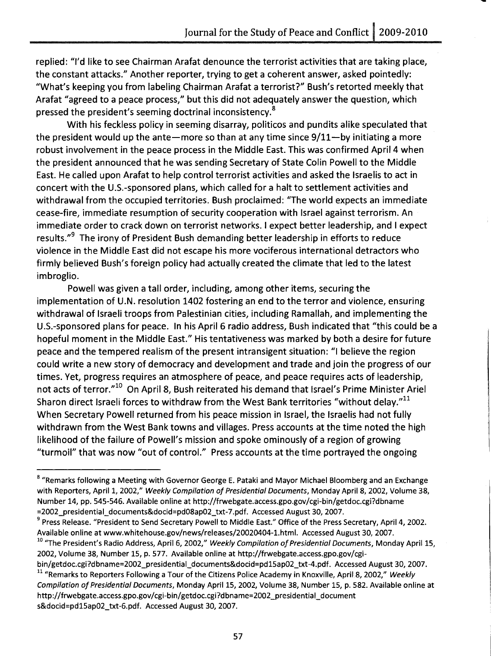replied: "I'd like to see Chairman Arafat denounce the terrorist activities that are taking place, the constant attacks." Another reporter, trying to get a coherent answer, asked pointedly: "What's keeping you from labeling Chairman Arafat a terrorist?" Bush's retorted meekly that Arafat "agreed to a peace process," but this did not adequately answer the question, which pressed the president's seeming doctrinal inconsistency.<sup>8</sup>

With his feckless policy in seeming disarray, politicos and pundits alike speculated that the president would up the ante-more so than at any time since  $9/11$ -by initiating a more robust involvement in the peace process in the Middle East. This was confirmed April 4 when the president announced that he was sending Secretary of State Colin Powell to the Middle East. He called upon Arafat to help control terrorist activities and asked the Israelis to act in concert with the U.s.-sponsored plans, which called for a halt to settlement activities and withdrawal from the occupied territories. Bush proclaimed: "The world expects an immediate cease-fire, immediate resumption of security cooperation with Israel against terrorism. An immediate order to crack down on terrorist networks. I expect better leadership, and I expect results."<sup>9</sup> The irony of President Bush demanding better leadership in efforts to reduce violence in the Middle East did not escape his more vociferous international detractors who firmly believed Bush's foreign policy had actually created the climate that led to the latest imbroglio.

Powell was given a tall order, including, among other items, securing the implementation of U.N. resolution 1402 fostering an end to the terror and violence, ensuring withdrawal of Israeli troops from Palestinian cities, including Ramallah, and implementing the U.s.-sponsored plans for peace. In his April 6 radio address, Bush indicated that "this could be a hopeful moment in the Middle East." His tentativeness was marked by both a desire for future peace and the tempered realism of the present intransigent situation: "I believe the region could write a new story of democracy and development and trade and join the progress of our times. Yet, progress requires an atmosphere of peace, and peace requires acts of leadership, not acts of terror."<sup>10</sup> On April 8, Bush reiterated his demand that Israel's Prime Minister Ariel Sharon direct Israeli forces to withdraw from the West Bank territories "without delay."<sup>11</sup> When Secretary Powell returned from his peace mission in Israel, the Israelis had not fully withdrawn from the West Bank towns and villages. Press accounts at the time noted the high likelihood of the failure of Powell's mission and spoke ominously of a region of growing "turmoil" that was now "out of control." Press accounts at the time portrayed the ongoing

<sup>&</sup>lt;sup>8</sup> "Remarks following a Meeting with Governor George E. Pataki and Mayor Michael Bloomberg and an Exchange with Reporters, April 1, 2002," *Weekly Compilation of Presidential Documents,* Monday April 8, 2002, Volume 38, Number 14, pp. 545-546. Available online at http://frwebgate.access.gpo.gov/cgi-bin/getdoc.cgi?dbname =2002\_presidential\_documents&docid=pd08ap02\_txt-7.pdf. Accessed August 30, 2007.

<sup>&</sup>lt;sup>9</sup> Press Release. "President to Send Secretary Powell to Middle East." Office of the Press Secretary, April 4, 2002. Available online at www.whitehouse.gov/news/releases/20020404-l.html. Accessed August 30, 2007.

<sup>&</sup>lt;sup>10</sup> "The President's Radio Address, April 6, 2002," *Weekly Compilation of Presidential Documents*, Monday April 15, 2002, Volume 38, Number 15, p. 577. Available online at http://frwebgate.access.gpo.gov/cgi-

bin/getdoc.cgi?dbname=2002\_presidential\_documents&docid=pd15ap02\_txt-4.pdf. Accessed August 30,2007. <sup>11</sup> "Remarks to Reporters Following a Tour of the Citizens Police Academy in Knoxville, April 8, 2002," Weekly *Compilation of Presidential Documents,* Monday April 15, 2002, Volume 38, Number 15, p. 582. Available online at http://frwebgate.access.gpo.gov/cgi-bin/getdoc.cgi?dbname=2002\_presidential\_document s&docid=pd15ap02\_txt-6.pdf. Accessed August 30,2007.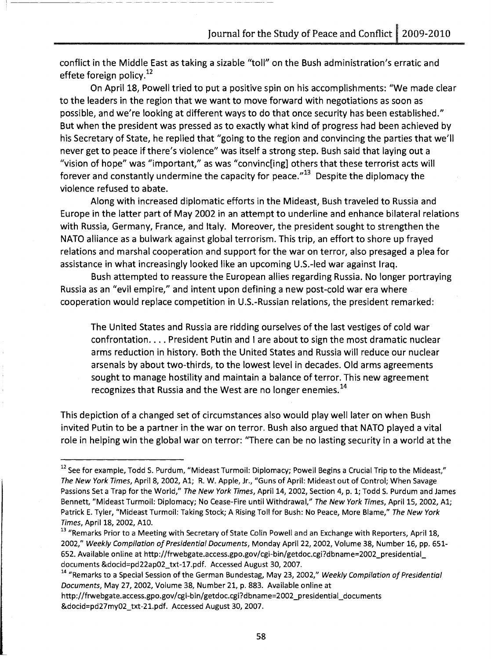conflict in the Middle East as taking a sizable *"toll"* on the Bush administration's erratic and effete foreign policy. $12$ 

-------------- - ----------

On April 18, Powell tried to put a positive spin on his accomplishments: "We made clear to the leaders in the region that we want to move forward with negotiations as soon as possible, and we're looking at different ways to do that once security has been established." But when the president was pressed as to exactly what kind of progress had been achieved by his Secretary of State, he replied that "going to the region and convincing the parties that we'll never get to peace if there's violence" was itself a strong step. Bush said that laying out a "vision of hope" was "important," as was "convinc[ing] others that these terrorist acts will forever and constantly undermine the capacity for peace. $^{\prime\prime}^{13}$  Despite the diplomacy the violence refused to abate.

Along with increased diplomatic efforts in the Mideast, Bush traveled to Russia and Europe in the latter part of May 2002 in an attempt to underline and enhance bilateral relations with Russia, Germany, France, and Italy. Moreover, the president sought to strengthen the NATO alliance as a bulwark against global terrorism. This trip, an effort to shore up frayed relations and marshal cooperation and support for the war on terror, also presaged a plea for assistance in what increasingly looked like an upcoming U.S.-led war against Iraq.

Bush attempted to reassure the European allies regarding Russia. No longer portraying Russia as an "evil empire," and intent upon defining a new post-cold war era where cooperation would replace competition in U.s.-Russian relations, the president remarked:

The United States and Russia are ridding ourselves of the last vestiges of cold war confrontation. . . . President Putin and I are about to sign the most dramatic nuclear arms reduction in history. Both the United States and Russia will reduce our nuclear arsenals by about two-thirds, to the lowest level in decades. Old arms agreements sought to manage hostility and maintain a balance of terror. This new agreement recognizes that Russia and the West are no longer enemies.<sup>14</sup>

This depiction of a changed set of circumstances also would play well later on when Bush invited Putin to be a partner in the war on terror. Bush also argued that NATO played a vital role in helping win the global war on terror: "There can be no lasting security in a world at the

 $12$  See for example, Todd S. Purdum, "Mideast Turmoil: Diplomacy; Powell Begins a Crucial Trip to the Mideast," The New York Times, April 8, 2002, A1; R. W. Apple, Jr., "Guns of April: Mideast out of Control; When Savage Passions Set a Trap for the World," The New York Times, April 14, 2002, Section 4, p. 1; Todd S. Purdum and James Bennett, "Mideast Turmoil: Diplomacy; No Cease-Fire until Withdrawal," The New York Times, April 15, 2002, A1; Patrick E. Tyler, "Mideast Turmoil: Taking Stock; A Rising Toll for Bush: No Peace, More Blame," The New York Times, April 18, 2002, AlD.

<sup>&</sup>lt;sup>13</sup> "Remarks Prior to a Meeting with Secretary of State Colin Powell and an Exchange with Reporters, April 18, 2002," Weekly Compilation of Presidential Documents, Monday April 22, 2002, Volume 38, Number 16, pp. 651- 652. Available online at http://frwebgate.access.gpo.gov/cgi-bin/getdoc.cgi?dbname=2002\_presidential documents &docid=pd22ap02\_txt-17.pdf. Accessed August 30,2007.

<sup>&</sup>lt;sup>14</sup> "Remarks to a Special Session of the German Bundestag, May 23, 2002," Weekly Compilation of Presidential Documents, May 27, 2002, Volume 38, Number 21, p. 883. Available online at

http://frwebgate.access.gpo.gov/cgi-bin/getdoc.cgi?dbname=2002\_presidential\_documents &docid=pd27my02\_txt-21.pdf. Accessed August 30, 2007.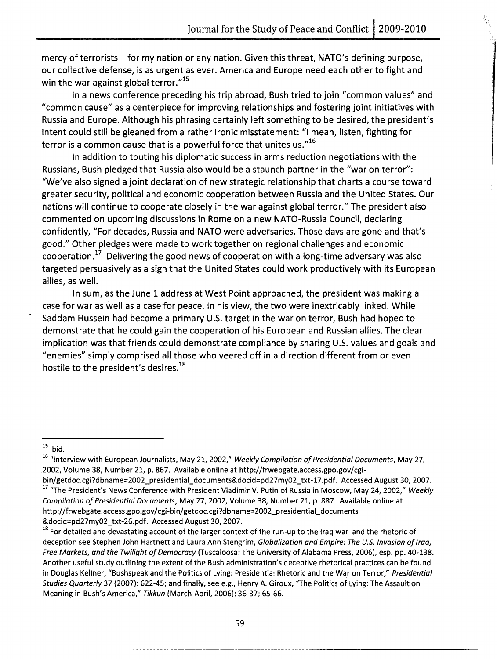mercy of terrorists - for my nation or any nation. Given this threat, NATO's defining purpose, our collective defense, is as urgent as ever. America and Europe need each other to fight and win the war against global terror."<sup>15</sup>

In a news conference preceding his trip abroad, Bush tried to join "common values" and "common cause" as a centerpiece for improving relationships and fostering joint initiatives with Russia and Europe. Although his phrasing certainly left something to be desired, the president's intent could still be gleaned from a rather ironic misstatement: "I mean, listen, fighting for terror is a common cause that is a powerful force that unites us. $16$ 

In addition to touting his diplomatic success in arms reduction negotiations with the Russians, Bush pledged that Russia also would be a staunch partner in the "war on terror": "We've also signed a joint declaration of new strategic relationship that charts a course toward greater security, political and economic cooperation between Russia and the United States. Our nations will continue to cooperate closely in the war against global terror." The president also commented on upcoming discussions in Rome on a new NATO-Russia Council, declaring confidently, "For decades, Russia and NATO were adversaries. Those days are gone and that's good." Other pledges were made to work together on regional challenges and economic cooperation.<sup>17</sup> Delivering the good news of cooperation with a long-time adversary was also targeted persuasively as a sign that the United States could work productively with its European allies, as well.

In sum, as the June 1 address at West Point approached, the president was making a case for war as well as a case for peace. In his view, the two were inextricably linked. While Saddam Hussein had become a primary U.S. target in the war on terror, Bush had hoped to demonstrate that he could gain the cooperation of his European and Russian allies. The clear implication was that friends could demonstrate compliance by sharing U.S. values and goals and "enemies" simply comprised all those who veered off in a direction different from or even hostile to the president's desires.<sup>18</sup>

 $15$  Ibid.

<sup>&</sup>lt;sup>16</sup> "Interview with European Journalists, May 21, 2002," Weekly Compilation of Presidential Documents, May 27, 2002, Volume 38, Number 21, p. 867. Available online at http://frwebgate.access.gpo.gov/cgi-

bin/getdoc.cgi?dbname=2002\_presidential\_documents&docid=pd27my02\_txt-17.pdf. Accessed August 30, 2007. <sup>17</sup> "The President's News Conference with President Vladimir V. Putin of Russia in Moscow, May 24, 2002," Weekly Compilation of Presidential Documents, May 27, 2002, Volume 38, Number 21, p. 887. Available online at http://frwebgate.access.gpo.gov/cgi-bin/getdoc.cgi?dbname=2002\_presidential\_documents &docid=pd27my02\_txt-26.pdf. Accessed August 30, 2007.

<sup>&</sup>lt;sup>18</sup> For detailed and devastating account of the larger context of the run-up to the Iraq war and the rhetoric of deception see Stephen John Hartnett and Laura Ann Stengrim, Globalization and Empire: The U.S. Invasion of Iraq, Free Markets, and the Twilight of Democracy (Tuscaloosa: The University of Alabama Press, 2006), esp. pp. 40-138. Another useful study outlining the extent of the Bush administration's deceptive rhetorical practices can be found in Douglas Kellner, "Bushspeak and the Politics of Lying: Presidential Rhetoric and the War on Terror," Presidential Studies Quarterly 37 (2007): 622-45; and finally, see e.g., Henry A. Giroux, "The Politics of Lying: The Assault on Meaning in Bush's America," Tikkun (March-April, 2006): 36-37; 65-66.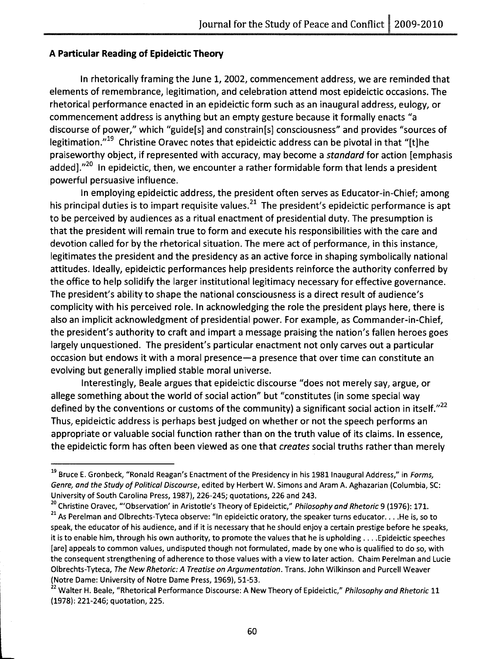#### **A Particular Reading of Epideictic Theory**

In rhetorically framing the June 1, 2002, commencement address, we are reminded that elements of remembrance, legitimation, and celebration attend most epideictic occasions. The rhetorical performance enacted in an epideictic form such as an inaugural address, eulogy, or commencement address is anything but an empty gesture because it formally enacts "a discourse of power," which "guide[s] and constrain[s] consciousness" and provides "sources of legitimation.<sup>"19</sup> Christine Oravec notes that epideictic address can be pivotal in that "[t]he praiseworthy object, if represented with accuracy, may become a *standard* for action [emphasis added]. $v^{20}$  in epideictic, then, we encounter a rather formidable form that lends a president powerful persuasive influence.

In employing epideictic address, the president often serves as Educator-in-Chief; among his principal duties is to impart requisite values.<sup>21</sup> The president's epideictic performance is apt to be perceived by audiences as a ritual enactment of presidential duty. The presumption is that the president will remain true to form and execute his responsibilities with the care and devotion called for by the rhetorical situation. The mere act of performance, in this instance, legitimates the president and the presidency as an active force in shaping symbolically national attitudes. Ideally, epideictic performances help presidents reinforce the authority conferred by the office to help solidify the larger institutional legitimacy necessary for effective governance. The president's ability to shape the national consciousness is a direct result of audience's complicity with his perceived role. In acknowledging the role the president plays here, there is also an implicit acknowledgment of presidential power. For example, as Commander-in-Chief, the president's authority to craft and impart a message praising the nation's fallen heroes goes largely unquestioned. The president's particular enactment not only carves out a particular occasion but endows it with a moral presence-a presence that over time can constitute an evolving but generally implied stable moral universe.

Interestingly, Beale argues that epideictic discourse "does not merely say, argue, or allege something about the world of social action" but "constitutes (in some special way defined by the conventions or customs of the community) a significant social action in itself. $"^{22}$ Thus, epideictic address is perhaps best judged on whether or not the speech performs an appropriate or valuable social function rather than on the truth value of its claims. In essence, the epideictic form has often been viewed as one that *creates* social truths rather than merely

<sup>20</sup> Christine Oravec, "'Observation' in Aristotle's Theory of Epideictic," Philosophy and Rhetoric 9 (1976): 171.

<sup>&</sup>lt;sup>19</sup> Bruce E. Gronbeck, "Ronald Reagan's Enactment of the Presidency in his 1981 Inaugural Address," in Forms, Genre, and the Study of Political Discourse, edited by Herbert W. Simons and Aram A. Aghazarian {Columbia, SC: University of South Carolina Press, 1987}, 226-245; quotations, 226 and 243.

 $21$  As Perelman and Olbrechts-Tyteca observe: "In epideictic oratory, the speaker turns educator... . He is, so to speak, the educator of his audience, and if it is necessary that he should enjoy a certain prestige before he speaks, it is to enable him, through his own authority, to promote the values that he is upholding .... Epideictic speeches [are] appeals to common values, undisputed though not formulated, made by one who is qualified to do so, with the consequent strengthening of adherence to those values with a view to later action. Chaim Perelman and Lucie Olbrechts-Tyteca, The New Rhetoric: A Treatise on Argumentation. Trans. John Wilkinson and Purcell Weaver {Notre Dame: University of Notre Dame Press, 1969}, 51-53.

<sup>&</sup>lt;sup>22</sup> Walter H. Beale, "Rhetorical Performance Discourse: A New Theory of Epideictic," Philosophy and Rhetoric 11 {1978}: 221-246; quotation, 225.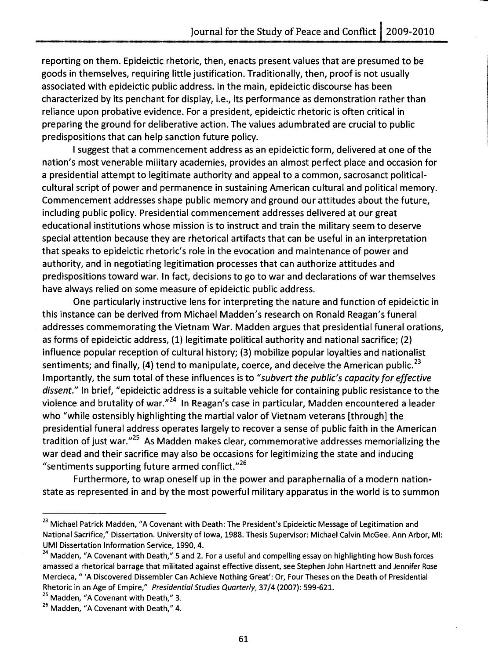reporting on them. Epideictic rhetoric, then, enacts present values that are presumed to be goods in themselves, requiring little justification. Traditionally, then, proof is not usually associated with epideictic public address. In the main, epideictic discourse has been characterized by its penchant for display, i.e., its performance as demonstration rather than reliance upon probative evidence. For a president, epideictic rhetoric is often critical in preparing the ground for deliberative action. The values adumbrated are crucial to public predispositions that can help sanction future policy.

I suggest that a commencement address as an epideictic form, delivered at one of the nation's most venerable military academies, provides an almost perfect place and occasion for a presidential attempt to legitimate authority and appeal to a common, sacrosanct politicalcultural script of power and permanence in sustaining American cultural and political memory. Commencement addresses shape public memory and ground our attitudes about the future, including public policy. Presidential commencement addresses delivered at our great educational institutions whose mission is to instruct and train the military seem to deserve special attention because they are rhetorical artifacts that can be useful in an interpretation that speaks to epideictic rhetoric's role in the evocation and maintenance of power and authority, and in negotiating legitimation processes that can authorize attitudes and predispositions toward war. In fact, decisions to go to war and declarations of war themselves have always relied on some measure of epideictic public address.

One particularly instructive lens for interpreting the nature and function of epideictic in this instance can be derived from Michael Madden's research on Ronald Reagan's funeral addresses commemorating the Vietnam War. Madden argues that presidential funeral orations, as forms of epideictic address, (1) legitimate political authority and national sacrifice; (2) influence popular reception of cultural history; (3) mobilize popular loyalties and nationalist sentiments; and finally, (4) tend to manipulate, coerce, and deceive the American public.<sup>23</sup> Importantly, the sum total of these influences is to *"subvert the public's capacity for effective*  dissent." In brief, "epideictic address is a suitable vehicle for containing public resistance to the violence and brutality of war.<sup>"24</sup> In Reagan's case in particular, Madden encountered a leader who "while ostensibly highlighting the martial valor of Vietnam veterans [through] the presidential funeral address operates largely to recover a sense of public faith in the American tradition of just war."<sup>25</sup> As Madden makes clear, commemorative addresses memorializing the war dead and their sacrifice may also be occasions for legitimizing the state and inducing "sentiments supporting future armed conflict." $^{26}$ 

Furthermore, to wrap oneself up in the power and paraphernalia of a modern nationstate as represented in and by the most powerful military apparatus in the world is to summon

<sup>&</sup>lt;sup>23</sup> Michael Patrick Madden, "A Covenant with Death: The President's Epideictic Message of Legitimation and National Sacrifice," Dissertation. University of Iowa, 1988. Thesis Supervisor: Michael Calvin McGee. Ann Arbor, MI: UMI Dissertation Information Service, 1990,4.

<sup>&</sup>lt;sup>24</sup> Madden, "A Covenant with Death," 5 and 2. For a useful and compelling essay on highlighting how Bush forces amassed a rhetorical barrage that militated against effective dissent, see Stephen John Hartnett and Jennifer Rose Mercieca, " 'A Discovered Dissembler Can Achieve Nothing Great': Or, Four Theses on the Death of Presidential Rhetoric in an Age of Empire," Presidential Studies Quarterly, 37/4 (2007): 599-621.

 $25$  Madden, "A Covenant with Death," 3.

 $26$  Madden, "A Covenant with Death," 4.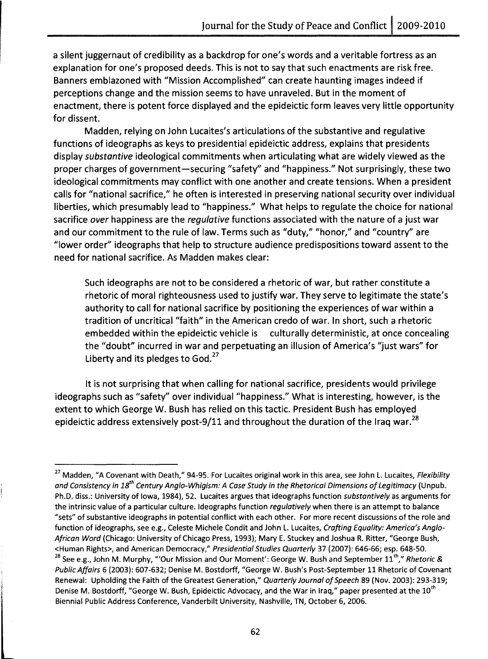a silent juggernaut of credibility as a backdrop for one's words and a veritable fortress as an explanation for one's proposed deeds. This is not to say that such enactments are risk free. Banners emblazoned with "Mission Accomplished" can create haunting images indeed if perceptions change and the mission seems to have unraveled. But in the moment of enactment, there is potent force displayed and the epideictic form leaves very little opportunity for dissent.

Madden, relying on John Lucaites's articulations of the substantive and regulative functions of ideographs as keys to presidential epideictic address, explains that presidents display *substantive* ideological commitments when articulating what are widely viewed as the proper charges of government-securing "safety" and "happiness." Not surprisingly, these two ideological commitments may conflict with one another and create tensions. When a president calls for "national sacrifice," he often is interested in preserving national security over individual liberties, which presumably lead to "happiness." What helps to regulate the choice for national sacrifice *over* happiness are the *regulative* functions associated with the nature of a just war and our commitment to the rule of law. Terms such as "duty," "honor," and "country" are "Iower order" ideographs that help to structure audience predispositions toward assent to the need for national sacrifice. As Madden makes clear:

Such ideographs are not to be considered a rhetoric of war, but rather constitute a rhetoric of moral righteousness used to justify war. They serve to legitimate the state's authority to call for national sacrifice by positioning the experiences of war within a tradition of uncritical"faith" in the American credo of war. In short, such a rhetoric embedded within the epideictic vehicle is culturally deterministic, at once concealing the "doubt" incurred in war and perpetuating an illusion of America's "just wars" for Liberty and its pledges to  $God.<sup>27</sup>$ 

It is not surprising that when calling for national sacrifice, presidents would privilege ideographs such as "safety" over individual"happiness." What is interesting, however, is the extent to which George W. Bush has relied on this tactic. President Bush has employed epideictic address extensively post-9/11 and throughout the duration of the Iraq war.<sup>28</sup>

<sup>27</sup> Madden, "A Covenant with Death," 94-95. For Lucaites original work in this area, see John L. Lucaites, *Flexibility and Consistency in 18th Century Anglo-Whigism:* A *Case Study in the Rhetorical Dimensions of Legitimacy* (Unpub. Ph.D. diss.: University of Iowa, 1984), 52. Lucaites argues that ideographs function *substantively* as arguments for the intrinsic value of a particular culture. Ideographs function *regulatively* when there is an attempt to balance "sets" of substantive ideographs in potential conflict with each other. For more recent discussions of the role and function of ideographs, see e.g., Celeste Michele Condit and John L. Lucaites, *Crafting Equality: America's Anglo-African Word* (Chicago: University of Chicago Press, 1993); Mary E. Stuckey and Joshua R. Ritter, "George Bush, <Human Rights>, and American Democracy," *Presidential Studies Quarterly* 37 (2007): 646-66; esp. 648-50. <sup>28</sup> See e.g., John M. Murphy, "'Our Mission and Our Moment': George W. Bush and September 11<sup>th</sup>," *Rhetoric & Public Affairs* 6 (2003): 607-632; Denise M. Bostdorff, "George W. Bush's Post-September 11 Rhetoric of Covenant Renewal: Upholding the Faith of the Greatest Generation," *Quarterly Journal of Speech* 89 (Nov. 2003): 293-319; Denise M. Bostdorff, "George W. Bush, Epideictic Advocacy, and the War in Iraq," paper presented at the 10<sup>th</sup> Biennial Public Address Conference, Vanderbilt University, Nashville, TN, October 6,2006.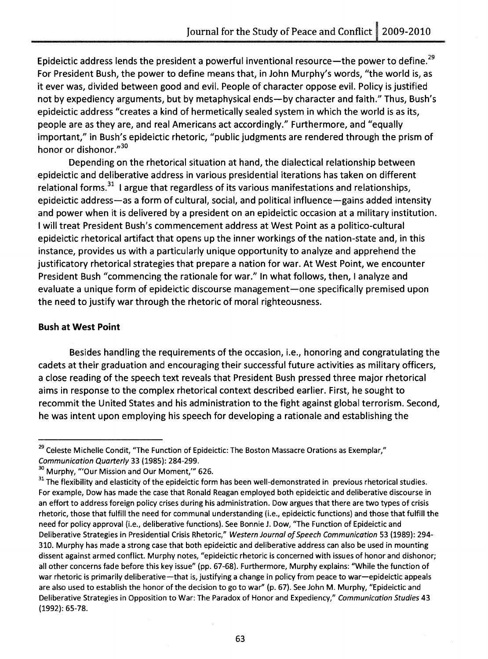Epideictic address lends the president a powerful inventional resource-the power to define.<sup>29</sup> For President Bush, the power to define means that, in John Murphy's words, "the world is, as it ever was, divided between good and evil. People of character oppose evil. Policy is justified not by expediency arguments, but by metaphysical ends—by character and faith." Thus, Bush's epideictic address "creates a kind of hermetically sealed system in which the world is as its, people are as they are, and real Americans act accordingly." Furthermore, and "equally important," in Bush's epideictic rhetoric, "public judgments are rendered through the prism of honor or dishonor."30

Depending on the rhetorical situation at hand, the dialectical relationship between epideictic and deliberative address in various presidential iterations has taken on different relational forms. $31$  I argue that regardless of its various manifestations and relationships, epideictic address-as a form of cultural, social, and political influence-gains added intensity and power when it is delivered by a president on an epideictic occasion at a military institution. I will treat President Bush's commencement address at West Point as a politico-cultural epideictic rhetorical artifact that opens up the inner workings of the nation-state and, in this instance, provides us with a particularly unique opportunity to analyze and apprehend the justificatory rhetorical strategies that prepare a nation for war. At West Point, we encounter President Bush "commencing the rationale for war." In what follows, then, I analyze and evaluate a unique form of epideictic discourse management-one specifically premised upon the need to justify war through the rhetoric of moral righteousness.

### **Bush at West Point**

Besides handling the requirements of the occasion, i.e., honoring and congratulating the cadets at their graduation and encouraging their successful future activities as military officers, a close reading of the speech text reveals that President Bush pressed three major rhetorical aims in response to the complex rhetorical context described earlier. First, he sought to recommit the United States and his administration to the fight against global terrorism. Second, he was intent upon employing his speech for developing a rationale and establishing the

<sup>&</sup>lt;sup>29</sup> Celeste Michelle Condit, "The Function of Epideictic: The Boston Massacre Orations as Exemplar," Communication Quarterly 33 (1985): 284-299.

<sup>&</sup>lt;sup>30</sup> Murphy, "'Our Mission and Our Moment," 626.

<sup>&</sup>lt;sup>31</sup> The flexibility and elasticity of the epideictic form has been well-demonstrated in previous rhetorical studies. For example, Dow has made the case that Ronald Reagan employed both epideictic and deliberative discourse in an effort to address foreign policy crises during his administration. Dow argues that there are two types of crisis rhetoric, those that fulfill the need for communal understanding (Le., epideictic functions) and those that fulfill the need for policy approval (Le., deliberative functions). See Bonnie J. Dow, "The Function of Epideictic and Deliberative Strategies in Presidential Crisis Rhetoric," Western Journal of Speech Communication 53 (1989): 294-310. Murphy has made a strong case that both epideictic and deliberative address can also be used in mounting dissent against armed conflict. Murphy notes, "epideictic rhetoric is concerned with issues of honor and dishonor; all other concerns fade before this key issue" (pp. 67-68). Furthermore, Murphy explains: "While the function of war rhetoric is primarily deliberative-that is, justifying a change in policy from peace to war-epideictic appeals are also used to establish the honor of the decision to go to war" (p. 67). See John M. Murphy, "Epideictic and Deliberative Strategies in Opposition to War: The Paradox of Honor and Expediency," Communication Studies 43 (1992): 65-78.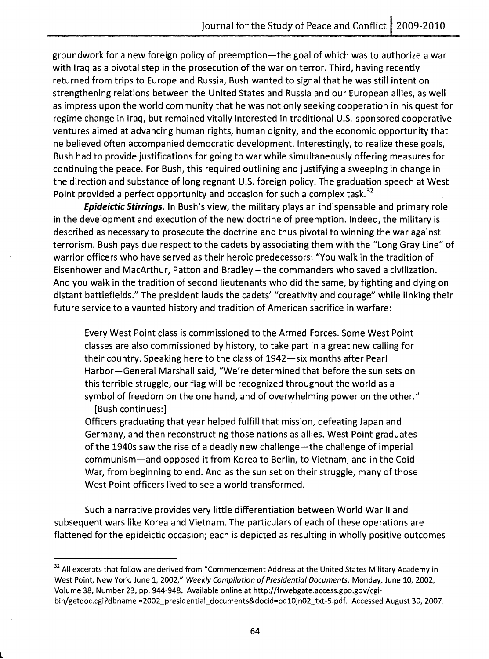groundwork for a new foreign policy of preemption-the goal of which was to authorize a war with Iraq as a pivotal step in the prosecution of the war on terror. Third, having recently returned from trips to Europe and Russia, Bush wanted to signal that he was still intent on strengthening relations between the United States and Russia and our European allies, as well as impress upon the world community that he was not only seeking cooperation in his quest for regime change in Iraq, but remained vitally interested in traditional U.S.-sponsored cooperative ventures aimed at advancing human rights, human dignity, and the economic opportunity that he believed often accompanied democratic development. Interestingly, to realize these goals, Bush had to provide justifications for going to war while simultaneously offering measures for continuing the peace. For Bush, this required outlining and justifying a sweeping in change in the direction and substance of long regnant U.S. foreign policy. The graduation speech at West Point provided a perfect opportunity and occasion for such a complex task.<sup>32</sup>

**Epideictic Stirrings.** In Bush's view, the military plays an indispensable and primary role in the development and execution of the new doctrine of preemption. Indeed, the military is described as necessary to prosecute the doctrine and thus pivotal to winning the war against terrorism. Bush pays due respect to the cadets by associating them with the "Long Gray Line" of warrior officers who have served as their heroic predecessors: "You walk in the tradition of Eisenhower and MacArthur, Patton and Bradley - the commanders who saved a civilization. And you walk in the tradition of second lieutenants who did the same, by fighting and dying on distant battlefields." The president lauds the cadets' "creativity and courage" while linking their future service to a vaunted history and tradition of American sacrifice in warfare:

Every West Point class is commissioned to the Armed Forces. Some West Point classes are also commissioned by history, to take part in a great new calling for their country. Speaking here to the class of 1942-six months after Pearl Harbor-General Marshall said, "We're determined that before the sun sets on this terrible struggle, our flag will be recognized throughout the world as a symbol of freedom on the one hand, and of overwhelming power on the other." [Bush continues:]

Officers graduating that year helped fulfill that mission, defeating Japan and Germany, and then reconstructing those nations as allies. West Point graduates of the 1940s saw the rise of a deadly new challenge-the challenge of imperial communism-and opposed it from Korea to Berlin, to Vietnam, and in the Cold War, from beginning to end. And as the sun set on their struggle, many of those West Point officers lived to see a world transformed.

Such a narrative provides very little differentiation between World War II and subsequent wars like Korea and Vietnam. The particulars of each of these operations are flattened for the epideictic occasion; each is depicted as resulting in wholly positive outcomes

l<br>Lista de la California<br>Lista de la California

<sup>&</sup>lt;sup>32</sup> All excerpts that follow are derived from "Commencement Address at the United States Military Academy in West Point, New York, June 1, 2002," *Weekly Compilation of Presidential Documents,* Monday, June 10, 2002, Volume 38, Number 23, pp. 944-948. Available online at http://frwebgate.access.gpo.gov/cgibin/getdoc.cgi?dbname =2002\_presidential\_documents&docid=pd10jn02\_txt-S.pdf. Accessed August 30,2007.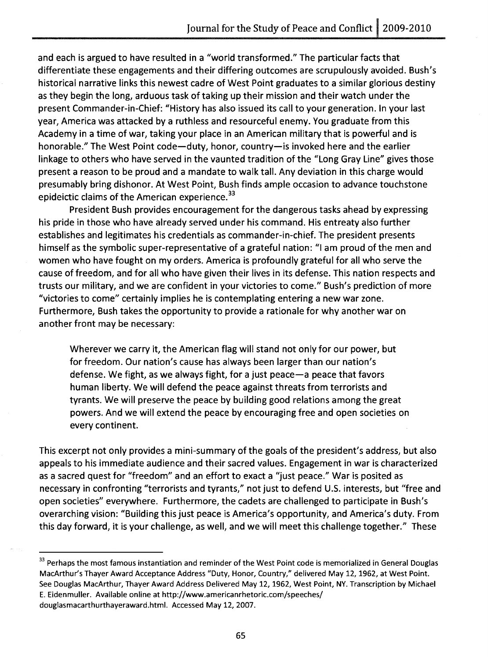and each is argued to have resulted in a "world transformed." The particular facts that differentiate these engagements and their differing outcomes are scrupulously avoided. Bush's historical narrative links this newest cadre of West Point graduates to a similar glorious destiny as they begin the long, arduous task of taking up their mission and their watch under the present Commander-in-Chief: "History has also issued its call to your generation. In your last year, America was attacked by a ruthless and resourceful enemy. You graduate from this Academy in a time of war, taking your place in an American military that is powerful and is honorable." The West Point code-duty, honor, country- is invoked here and the earlier linkage to others who have served in the vaunted tradition of the "Long Gray Line" gives those present a reason to be proud and a mandate to walk tall. Any deviation in this charge would presumably bring dishonor. At West Point, Bush finds ample occasion to advance touchstone epideictic claims of the American experience.<sup>33</sup>

President Bush provides encouragement for the dangerous tasks ahead by expressing his pride in those who have already served under his command. His entreaty also further establishes and legitimates his credentials as commander-in-chief. The president presents himself as the symbolic super-representative of a grateful nation: "I am proud of the men and women who have fought on my orders. America is profoundly grateful for all who serve the cause of freedom, and for all who have given their lives in its defense. This nation respects and trusts our military, and we are confident in your victories to come." Bush's prediction of more "victories to come" certainly implies he is contemplating entering a new war zone. Furthermore, Bush takes the opportunity to provide a rationale for why another war on another front may be necessary:

Wherever we carry it, the American flag will stand not only for our power, but for freedom. Our nation's cause has always been larger than our nation's defense. We fight, as we always fight, for a just peace-a peace that favors human liberty. We will defend the peace against threats from terrorists and tyrants. We will preserve the peace by building good relations among the great powers. And we will extend the peace by encouraging free and open societies on every continent.

This excerpt not only provides a mini-summary of the goals of the president's address, but also appeals to his immediate audience and their sacred values. Engagement in war is characterized as a sacred quest for "freedom" and an effort to exact a "just peace." War is posited as necessary in confronting "terrorists and tyrants," not just to defend U.S. interests, but "free and open societies" everywhere. Furthermore, the cadets are challenged to participate in Bush's overarching vision: "Building this just peace is America's opportunity, and America's duty. From this day forward, it is your challenge, as well, and we will meet this challenge together." These

<sup>&</sup>lt;sup>33</sup> Perhaps the most famous instantiation and reminder of the West Point code is memorialized in General Douglas MacArthur's Thayer Award Acceptance Address "Duty, Honor, Country," delivered May 12, 1962, at West Point. See Douglas MacArthur, Thayer Award Address Delivered May 12, 1962, West Point, NY. Transcription by Michael E. Eidenmuller. Available online at http://www.americanrhetoric.com/speeches/ douglasmacarthurthayeraward.html. Accessed May 12, 2007.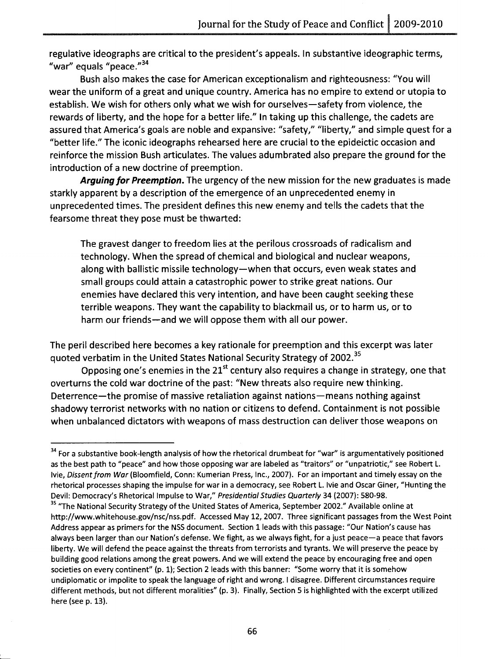regulative ideographs are critical to the president's appeals. In substantive ideographic terms, "war" equals "peace."<sup>34</sup>

Bush also makes the case for American exceptionalism and righteousness: "You will wear the uniform of a great and unique country. America has no empire to extend or utopia to establish. We wish for others only what we wish for ourselves—safety from violence, the rewards of liberty, and the hope for a better life." In taking up this challenge, the cadets are assured that America's goals are noble and expansive: "safety," "Iiberty," and simple quest for a "better life." The iconic ideographs rehearsed here are crucial to the epideictic occasion and reinforce the mission Bush articulates. The values adumbrated also prepare the ground for the introduction of a new doctrine of preemption.

Arguing for Preemption. The urgency of the new mission for the new graduates is made starkly apparent by a description of the emergence of an unprecedented enemy in unprecedented times. The president defines this new enemy and tells the cadets that the fearsome threat they pose must be thwarted:

The gravest danger to freedom lies at the perilous crossroads of radicalism and technology. When the spread of chemical and biological and nuclear weapons, along with ballistic missile technology—when that occurs, even weak states and small groups could attain a catastrophic power to strike great nations. Our enemies have declared this very intention, and have been caught seeking these terrible weapons. They want the capability to blackmail us, or to harm us, or to harm our friends-and we will oppose them with all our power.

The peril described here becomes a key rationale for preemption and this excerpt was later quoted verbatim in the United States National Security Strategy of 2002.<sup>35</sup>

Opposing one's enemies in the  $21<sup>st</sup>$  century also requires a change in strategy, one that overturns the cold war doctrine of the past: "New threats also require new thinking. Deterrence—the promise of massive retaliation against nations—means nothing against shadowy terrorist networks with no nation or citizens to defend. Containment is not possible when unbalanced dictators with weapons of mass destruction can deliver those weapons on

<sup>&</sup>lt;sup>34</sup> For a substantive book-length analysis of how the rhetorical drumbeat for "war" is argumentatively positioned as the best path to "peace" and how those opposing war are labeled as "traitors" or "unpatriotic," see Robert L. Ivie, Dissent from War (Bloomfield, Conn: Kumerian Press, Inc., 2007). For an important and timely essay on the rhetorical processes shaping the impulse for war in a democracy, see Robert L. Ivie and Oscar Giner, "Hunting the Devil: Democracy's Rhetorical Impulse to War," Presidential Studies Quarterly 34 (2007): 580-98.

<sup>&</sup>lt;sup>35</sup> "The National Security Strategy of the United States of America, September 2002." Available online at http://www.whitehouse.gov/nsc/nss.pdf. Accessed May 12, 2007. Three significant passages from the West Point Address appear as primers for the NSS document. Section 1 leads with this passage: "Our Nation's cause has always been larger than our Nation's defense. We fight, as we always fight, for a just peace-a peace that favors liberty. We will defend the peace against the threats from terrorists and tyrants. We will preserve the peace by building good relations among the great powers. And we will extend the peace by encouraging free and open societies on every continent" (p. 1); Section 2 leads with this banner: "Some worry that it is somehow undiplomatic or impolite to speak the language of right and wrong. I disagree. Different circumstances require different methods, but not different moralities" (p. 3). Finally, Section 5 is highlighted with the excerpt utilized here (see p. 13).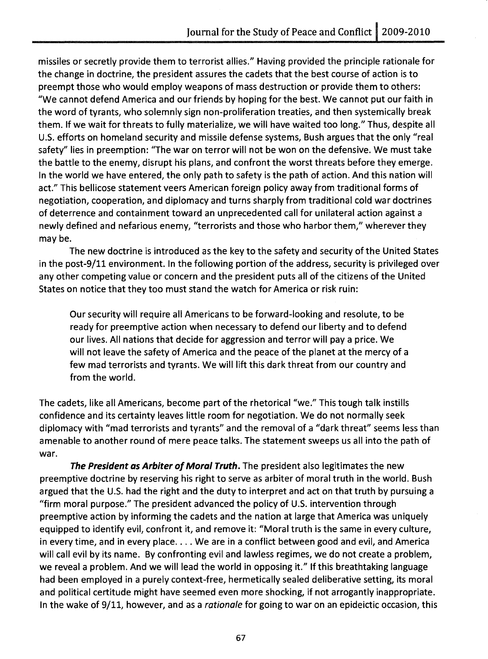missiles or secretly provide them to terrorist allies." Having provided the principle rationale for the change in doctrine, the president assures the cadets that the best course of action is to preempt those who would employ weapons of mass destruction or provide them to others: "We cannot defend America and our friends by hoping for the best. We cannot put our faith in the word of tyrants, who solemnly sign non-proliferation treaties, and then systemically break them. If we wait for threats to fully materialize, we will have waited too long." Thus, despite all U.S. efforts on homeland security and missile defense systems, Bush argues that the only "real safety" lies in preemption: "The war on terror will not be won on the defensive. We must take the battle to the enemy, disrupt his plans, and confront the worst threats before they emerge. In the world we have entered, the only path to safety is the path of action. And this nation will act." This bellicose statement veers American foreign policy away from traditional forms of negotiation, cooperation, and diplomacy and turns sharply from traditional cold war doctrines of deterrence and containment toward an unprecedented call for unilateral action against a newly defined and nefarious enemy, "terrorists and those who harbor them," wherever they may be.

The new doctrine is introduced as the key to the safety and security of the United States in the post-9/11 environment. In the following portion of the address, security is privileged over any other competing value or concern and the president puts all of the citizens of the United States on notice that they too must stand the watch for America or risk ruin:

Our security will require all Americans to be forward-looking and resolute, to be ready for preemptive action when necessary to defend our liberty and to defend our lives. All nations that decide for aggression and terror will pay a price. We will not leave the safety of America and the peace of the planet at the mercy of a few mad terrorists and tyrants. We will lift this dark threat from our country and from the world.

The cadets, like all Americans, become part of the rhetorical "we." This tough talk instills confidence and its certainty leaves little room for negotiation. We do not normally seek diplomacy with "mad terrorists and tyrants" and the removal of a "dark threat" seems less than amenable to another round of mere peace talks. The statement sweeps us all into the path of war.

The President as Arbiter of Moral Truth. The president also legitimates the new preemptive doctrine by reserving his right to serve as arbiter of moral truth in the world. Bush argued that the U.S. had the right and the duty to interpret and act on that truth by pursuing a "firm moral purpose." The president advanced the policy of U.S. intervention through preemptive action by informing the cadets and the nation at large that America was uniquely equipped to identify evil, confront it, and remove it: "Moral truth is the same in every culture, in every time, and in every place. . . . We are in a conflict between good and evil, and America will call evil by its name. By confronting evil and lawless regimes, we do not create a problem, we reveal a problem. And we will lead the world in opposing it." If this breathtaking language had been employed in a purely context-free, hermetically sealed deliberative setting, its moral and political certitude might have seemed even more shocking, if not arrogantly inappropriate. In the wake of 9/11, however, and as a rationale for going to war on an epideictic occasion, this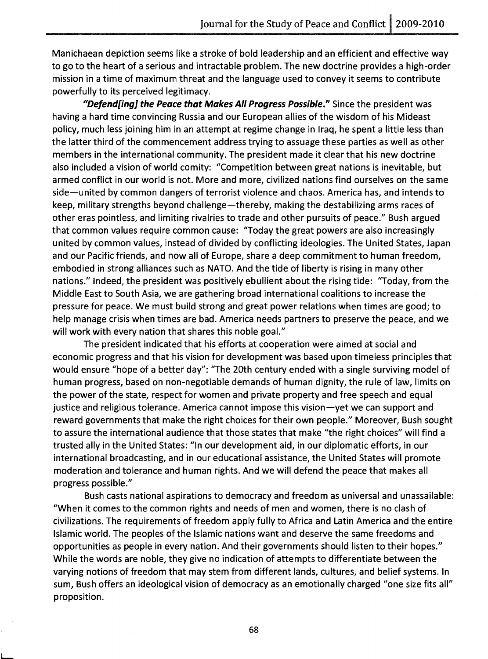Manichaean depiction seems like a stroke of bold leadership and an efficient and effective way to go to the heart of a serious and intractable problem. The new doctrine provides a high-order mission in a time of maximum threat and the language used to convey it seems to contribute powerfully to its perceived legitimacy.

"Defendfing] the Peace that Makes All Progress Possible." Since the president was having a hard time convincing Russia and our European allies of the wisdom of his Mideast policy, much less joining him in an attempt at regime change in Iraq, he spent a little less than the latter third of the commencement address trying to assuage these parties as well as other members in the international community. The president made it clear that his new doctrine also included a vision of world comity: "Competition between great nations is inevitable, but armed conflict in our world is not. More and more, civilized nations find ourselves on the same side-united by common dangers of terrorist violence and chaos. America has, and intends to keep, military strengths beyond challenge-thereby, making the destabilizing arms races of other eras pointless, and limiting rivalries to trade and other pursuits of peace." Bush argued that common values require common cause: "Today the great powers are also increasingly united by common values, instead of divided by conflicting ideologies. The United States, Japan and our Pacific friends, and now all of Europe, share a deep commitment to human freedom, embodied in strong alliances such as NATO. And the tide of liberty is rising in many other nations." Indeed, the president was positively ebullient about the rising tide: 'Today, from the Middle East to South Asia, we are gathering broad international coalitions to increase the pressure for peace. We must build strong and great power relations when times are good; to help manage crisis when times are bad. America needs partners to preserve the peace, and we will work with every nation that shares this noble goal."

The president indicated that his efforts at cooperation were aimed at social and economic progress and that his vision for development was based upon timeless principles that would ensure "hope of a better day": "The 20th century ended with a single surviving model of human progress, based on non-negotiable demands of human dignity, the rule of law, limits on the power of the state, respect for women and private property and free speech and equal justice and religious tolerance. America cannot impose this vision-yet we can support and reward governments that make the right choices for their own people." Moreover, Bush sought to assure the international audience that those states that make "the right choices" will find a trusted ally in the United States: "In our development aid, in our diplomatic efforts, in our international broadcasting, and in our educational assistance, the United States will promote moderation and tolerance and human rights. And we will defend the peace that makes all progress possible."

Bush casts national aspirations to democracy and freedom as universal and unassailable: "When it comes to the common rights and needs of men and women, there is no clash of civilizations. The requirements of freedom apply fully to Africa and Latin America and the entire Islamic world. The peoples of the Islamic nations want and deserve the same freedoms and opportunities as people in every nation. And their governments should listen to their hopes." While the words are noble, they give no indication of attempts to differentiate between the varying notions of freedom that may stem from different lands, cultures, and belief systems. In sum, Bush offers an ideological vision of democracy as an emotionally charged "one size fits all" proposition.

L.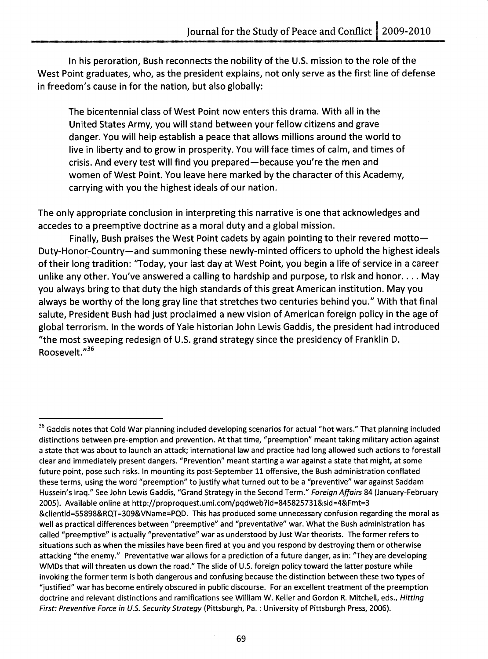In his peroration, Bush reconnects the nobility of the U.S. mission to the role of the West Point graduates, who, as the president explains, not only serve as the first line of defense in freedom's cause in for the nation, but also globally:

The bicentennial class of West Point now enters this drama. With all in the United States Army, you will stand between your fellow citizens and grave danger. You will help establish a peace that allows millions around the world to live in liberty and to grow in prosperity. You will face times of calm, and times of crisis. And every test will find you prepared-because you're the men and women of West Point. You leave here marked by the character of this Academy, carrying with you the highest ideals of our nation.

The only appropriate conclusion in interpreting this narrative is one that acknowledges and accedes to a preemptive doctrine as a moral duty and a global mission.

Finally, Bush praises the West Point cadets by again pointing to their revered motto-Duty-Honor-Country-and summoning these newly-minted officers to uphold the highest ideals of their long tradition: "Today, your last day at West Point, you begin a life of service in a career unlike any other. You've answered a calling to hardship and purpose, to risk and honor .... May you always bring to that duty the high standards of this great American institution. May you always be worthy of the long gray line that stretches two centuries behind you." With that final salute, President Bush had just proclaimed a new vision of American foreign policy in the age of global terrorism. In the words of Yale historian John Lewis Gaddis, the president had introduced "the most sweeping redesign of U.S. grand strategy since the presidency of Franklin D. Roosevelt."<sup>36</sup>

<sup>&</sup>lt;sup>36</sup> Gaddis notes that Cold War planning included developing scenarios for actual "hot wars." That planning included distinctions between pre-emption and prevention. At that time, "preemption" meant taking military action against a state that was about to launch an attack; international law and practice had long allowed such actions to forestall clear and immediately present dangers. "Prevention" meant starting a war against a state that might, at some future point, pose such risks. In mounting its post-September 11 offensive, the Bush administration conflated these terms, using the word "preemption" to justify what turned out to be a "preventive" war against Saddam Hussein's Iraq." See John Lewis Gaddis, "Grand Strategy in the Second Term." Foreign Affairs 84 (January-February 2005). Available online at http://proproquest.umi.com/pqdweb?id=845825731&sid=4&Fmt=3 &clientld=55898&RQT=309&VName=PQD. This has produced some unnecessary confusion regarding the moral as well as practical differences between "preemptive" and "preventative" war. What the Bush administration has called "preemptive" is actually "preventative" war as understood by Just War theorists. The former refers to situations such as when the missiles have been fired at you and you respond by destroying them or otherwise attacking "the enemy." Preventative war allows for a prediction of a future danger, as in: "They are developing WMDs that will threaten us down the road." The slide of U.S. foreign policy toward the latter posture while invoking the former term is both dangerous and confusing because the distinction between these two types of "justified" war has become entirely obscured in public discourse. For an excellent treatment of the preemption doctrine and relevant distinctions and ramifications see William W. Keller and Gordon R. Mitchell, eds., Hitting First: Preventive Force in U.S. Security Strategy (Pittsburgh, Pa. : University of Pittsburgh Press, 2006).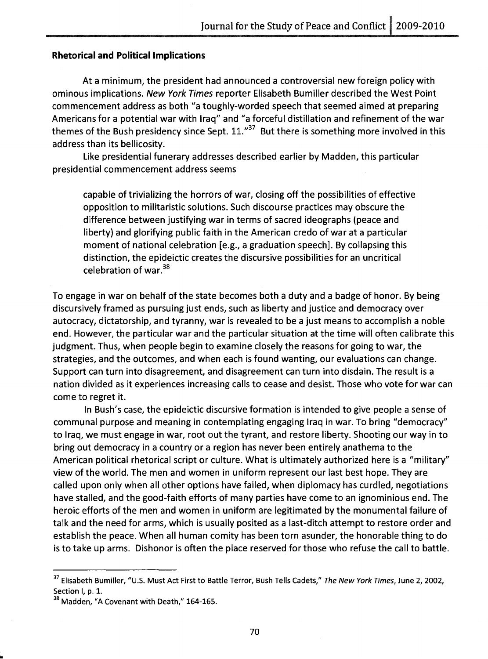#### **Rhetorical and** Political Implications

At a minimum, the president had announced a controversial new foreign policy with ominous implications. New York Times reporter Elisabeth Bumiller described the West Point commencement address as both "a toughly-worded speech that seemed aimed at preparing Americans for a potential war with Iraq" and "a forceful distillation and refinement of the war themes of the Bush presidency since Sept.  $11.^{37}$  But there is something more involved in this address than its bellicosity.

Like presidential funerary addresses described earlier by Madden, this particular presidential commencement address seems

capable of trivializing the horrors of war, closing off the possibilities of effective opposition to militaristic solutions. Such discourse practices may obscure the difference between justifying war in terms of sacred ideographs (peace and liberty) and glorifying public faith in the American credo of war at a particular moment of national celebration [e.g., a graduation speech]. By collapsing this distinction, the epideictic creates the discursive possibilities for an uncritical celebration of war.<sup>38</sup>

To engage in war on behalf of the state becomes both a duty and a badge of honor. By being discursively framed as pursuing just ends, such as liberty and justice and democracy over autocracy, dictatorship, and tyranny, war is revealed to be a just means to accomplish a noble end. However, the particular war and the particular situation at the time will often calibrate this judgment. Thus, when people begin to examine closely the reasons for going to war, the strategies, and the outcomes, and when each is found wanting, our evaluations can change. Support can turn into disagreement, and disagreement can turn into disdain. The result is a nation divided as it experiences increasing calls to cease and desist. Those who vote for war can come to regret it.

In Bush's case, the epideictic discursive formation is intended to give people a sense of communal purpose and meaning in contemplating engaging Iraq in war. To bring "democracy" to Iraq, we must engage in war, root out the tyrant, and restore liberty. Shooting our way in to bring out democracy in a country or a region has never been entirely anathema to the American political rhetorical script or culture. What is ultimately authorized here is a "military" view of the world. The men and women in uniform represent our last best hope. They are called upon only when all other options have failed, when diplomacy has curdled, negotiations have stalled, and the good-faith efforts of many parties have come to an ignominious end. The heroic efforts of the men and women in uniform are legitimated by the monumental failure of talk and the need for arms, which is usually posited as a last-ditch attempt to restore order and establish the peace. When all human comity has been torn asunder, the honorable thing to do is to take up arms. Dishonor is often the place reserved for those who refuse the call to battle.

<sup>&</sup>lt;sup>37</sup> Elisabeth Bumiller, "U.S. Must Act First to Battle Terror, Bush Tells Cadets," The New York Times, June 2, 2002, Section I, p. 1.

<sup>&</sup>lt;sup>38</sup> Madden, "A Covenant with Death," 164-165.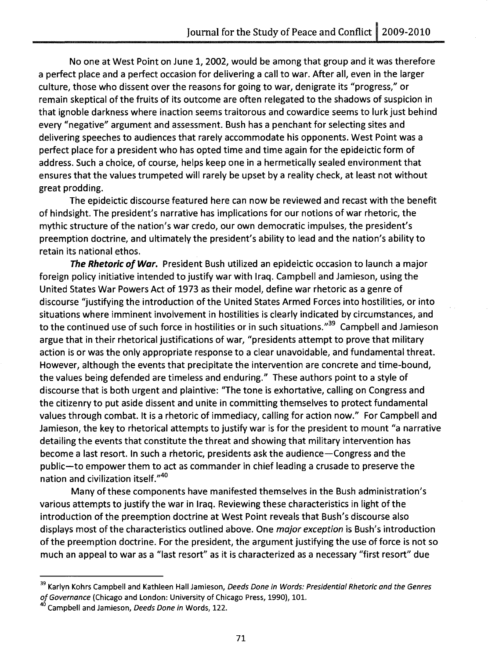No one at West Point on June 1, 2002, would be among that group and it was therefore a perfect place and a perfect occasion for delivering a call to war. After all, even in the larger culture, those who dissent over the reasons for going to war, denigrate its "progress," or remain skeptical of the fruits of its outcome are often relegated to the shadows of suspicion in that ignoble darkness where inaction seems traitorous and cowardice seems to lurk just beh ind every "negative" argument and assessment. Bush has a penchant for selecting sites and delivering speeches to audiences that rarely accommodate his opponents. West Point was a perfect place for a president who has opted time and time again for the epideictic form of address. Such a choice, of course, helps keep one in a hermetically sealed environment that ensures that the values trumpeted will rarely be upset by a reality check, at least not without great prodding.

The epideictic discourse featured here can now be reviewed and recast with the benefit of hindsight. The president's narrative has implications for our notions of war rhetoric, the mythic structure of the nation's war credo, our own democratic impulses, the president's preemption doctrine, and ultimately the president's ability to lead and the nation's ability to retain its national ethos.

*The Rhetoric of War.* President Bush utilized an epideictic occasion to launch a major foreign policy initiative intended to justify war with Iraq. Campbell and Jamieson, using the United States War Powers Act of 1973 as their model, define war rhetoric as a genre of discourse "justifying the introduction of the United States Armed Forces into hostilities, or into situations where imminent involvement in hostilities is clearly indicated by circumstances, and to the continued use of such force in hostilities or in such situations."<sup>39</sup> Campbell and Jamieson argue that in their rhetorical justifications of war, "presidents attempt to prove that military action is or was the only appropriate response to a clear unavoidable, and fundamental threat. However, although the events that precipitate the intervention are concrete and time-bound, the values being defended are timeless and enduring." These authors point to a style of discourse that is both urgent and plaintive: "The tone is exhortative, calling on Congress and the citizenry to put aside dissent and unite in committing themselves to protect fundamental values through combat. It is a rhetoric of immediacy, calling for action now." For Campbell and Jamieson, the key to rhetorical attempts to justify war is for the president to mount "a narrative detailing the events that constitute the threat and showing that military intervention has become a last resort. In such a rhetoric, presidents ask the audience-Congress and the public-to empower them to act as commander in chief leading a crusade to preserve the nation and civilization itself."40

Many of these components have manifested themselves in the Bush administration's various attempts to justify the war in Iraq. Reviewing these characteristics in light of the introduction of the preemption doctrine at West Point reveals that Bush's discourse also displays most of the characteristics outlined above. One *major exception* is Bush's introduction of the preemption doctrine. For the president, the argument justifying the use of force is not so much an appeal to war as a "last resort" as it is characterized as a necessary "first resort" due

<sup>&</sup>lt;sup>39</sup> Karlyn Kohrs Campbell and Kathleen Hall Jamieson, Deeds Done in Words: Presidential Rhetoric and the Genres of Governance (Chicago and London: University of Chicago Press, 1990), 101.

<sup>&</sup>lt;sup>40</sup> Campbell and Jamieson, Deeds Done in Words, 122.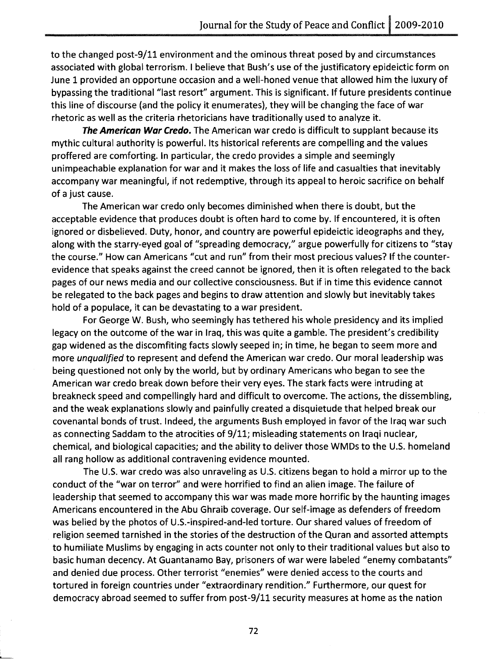to the changed post-9/11 environment and the ominous threat posed by and circumstances associated with global terrorism. I believe that Bush's use of the justificatory epideictic form on June 1 provided an opportune occasion and a well-honed venue that allowed him the luxury of bypassing the traditional "last resort" argument. This is significant. If future presidents continue this line of discourse (and the policy it enumerates), they will be changing the face of war rhetoric as well as the criteria rhetoricians have traditionally used to analyze it.

**The American War Credo.** The American war credo is difficult to supplant because its mythic cultural authority is powerful. Its historical referents are compelling and the values proffered are comforting. In particular, the credo provides a simple and seemingly unimpeachable explanation for war and it makes the loss of life and casualties that inevitably accompany war meaningful, if not redemptive, through its appeal to heroic sacrifice on behalf of a just cause.

The American war credo only becomes diminished when there is doubt, but the acceptable evidence that produces doubt is often hard to come by. If encountered, it is often ignored or disbelieved. Duty, honor, and country are powerful epideictic ideographs and they, along with the starry-eyed goal of "spreading democracy," argue powerfully for citizens to "stay the course." How can Americans "cut and run" from their most precious values? If the counterevidence that speaks against the creed cannot be ignored, then it is often relegated to the back pages of our news media and our collective consciousness. But if in time this evidence cannot be relegated to the back pages and begins to draw attention and slowly but inevitably takes hold of a populace, it can be devastating to a war president.

For George W. Bush, who seemingly has tethered his whole presidency and its implied legacy on the outcome of the war in Iraq, this was quite a gamble. The president's credibility gap widened as the discomfiting facts slowly seeped in; in time, he began to seem more and more *unqualified* to represent and defend the American war credo. Our moral leadership was being questioned not only by the world, but by ordinary Americans who began to see the American war credo break down before their very eyes. The stark facts were intruding at breakneck speed and compellingly hard and difficult to overcome. The actions, the dissembling, and the weak explanations slowly and painfully created a disquietude that helped break our covenantal bonds of trust. Indeed, the arguments Bush employed in favor of the Iraq war such as connecting Saddam to the atrocities of 9/11; misleading statements on Iraqi nuclear, chemical, and biological capacities; and the ability to deliver those WMDs to the U.S. homeland all rang hollow as additional contravening evidence mounted.

The U.S. war credo was also unraveling as U.S. citizens began to hold a mirror up to the conduct of the "war on terror" and were horrified to find an alien image. The failure of leadership that seemed to accompany this war was made more horrific by the haunting images Americans encountered in the Abu Ghraib coverage. Our self-image as defenders of freedom was belied by the photos of U.S.-inspired-and-Ied torture. Our shared values of freedom of religion seemed tarnished in the stories of the destruction of the Quran and assorted attempts to humiliate Muslims by engaging in acts counter not only to their traditional values but also to basic human decency. At Guantanamo Bay, prisoners of war were labeled "enemy combatants" and denied due process. Other terrorist "enemies" were denied access to the courts and tortured in foreign countries under "extraordinary rendition." Furthermore, our quest for democracy abroad seemed to suffer from post-9/11 security measures at home as the nation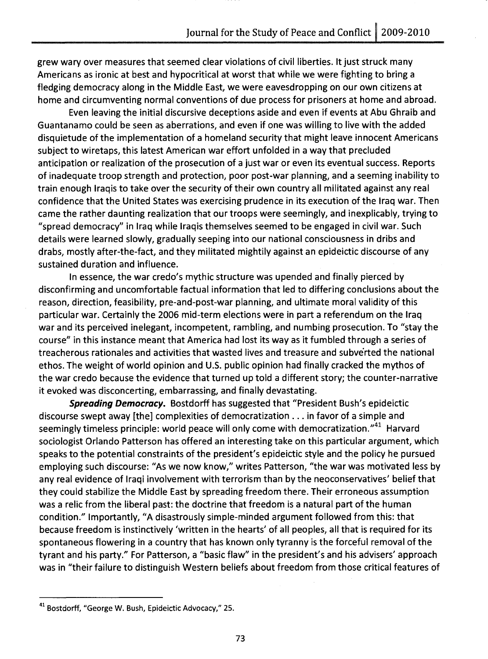grew wary over measures that seemed clear violations of civil liberties. It just struck many Americans as ironic at best and hypocritical at worst that while we were fighting to bring a fledging democracy along in the Middle East, we were eavesdropping on our own citizens at home and circumventing normal conventions of due process for prisoners at home and abroad.

Even leaving the initial discursive deceptions aside and even if events at Abu Ghraib and Guantanamo could be seen as aberrations, and even if one was willing to live with the added disquietude of the implementation of a homeland security that might leave innocent Americans subject to wiretaps, this latest American war effort unfolded in a way that precluded anticipation or realization of the prosecution of a just war or even its eventual success. Reports of inadequate troop strength and protection, poor post-war planning, and a seeming inability to train enough Iraqis to take over the security of their own country all militated against any real confidence that the United States was exercising prudence in its execution of the Iraq war. Then came the rather daunting realization that our troops were seemingly, and inexplicably, trying to "spread democracy" in Iraq while Iraqis themselves seemed to be engaged in civil war. Such details were learned slowly, gradually seeping into our national consciousness in dribs and drabs, mostly after-the-fact, and they militated mightily against an epideictic discourse of any sustained duration and influence.

In essence, the war credo's mythic structure was upended and finally pierced by disconfirming and uncomfortable factual information that led to differing conclusions about the reason, direction, feasibility, pre-and-post-war planning, and ultimate moral validity of this particular war. Certainly the 2006 mid-term elections were in part a referendum on the Iraq war and its perceived inelegant, incompetent, rambling, and numbing prosecution. To "stay the course" in this instance meant that America had lost its way as it fumbled through a series of treacherous rationales and activities that wasted lives and treasure and subverted the national ethos. The weight of world opinion and U.S. public opinion had finally cracked the mythos of the war credo because the evidence that turned up told a different story; the counter-narrative it evoked was disconcerting, embarrassing, and finally devastating.

**Spreading Democracy.** Bostdorff has suggested that "President Bush's epideictic discourse swept away [the] complexities of democratization ... in favor of a simple and seemingly timeless principle: world peace will only come with democratization."<sup>41</sup> Harvard sociologist Orlando Patterson has offered an interesting take on this particular argument, which speaks to the potential constraints of the president's epideictic style and the policy he pursued employing such discourse: "As we now know," writes Patterson, "the war was motivated less by any real evidence of Iraqi involvement with terrorism than by the neoconservatives' belief that they could stabilize the Middle East by spreading freedom there. Their erroneous assumption was a relic from the liberal past: the doctrine that freedom is a natural part of the human condition." Importantly, "A disastrously simple-minded argument followed from this: that because freedom is instinctively 'written in the hearts' of all peoples, all that is required for its spontaneous flowering in a country that has known only tyranny is the forceful removal of the tyrant and his party." For Patterson, a "basic flaw" in the president's and his advisers' approach was in "their failure to distinguish Western beliefs about freedom from those critical features of

<sup>41</sup> Bostdorff, "George W. Bush, Epideictic Advocacy," 25.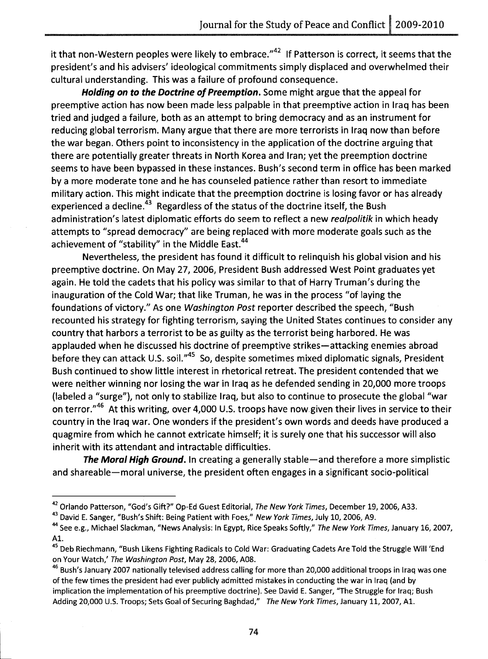it that non-Western peoples were likely to embrace." $42$  If Patterson is correct, it seems that the president's and his advisers' ideological commitments simply displaced and overwhelmed their cultural understanding. This was a failure of profound consequence.

**Holding on to the Doctrine of Preemption.** Some might argue that the appeal for preemptive action has now been made less palpable in that preemptive action in Iraq has been tried and judged a failure, both as an attempt to bring democracy and as an instrument for reducing global terrorism. Many argue that there are more terrorists in Iraq now than before the war began. Others point to inconsistency in the application of the doctrine arguing that there are potentially greater threats in North Korea and Iran; yet the preemption doctrine seems to have been bypassed in these instances. Bush's second term in office has been marked by a more moderate tone and he has counseled patience rather than resort to immediate military action. This might indicate that the preemption doctrine is losing favor or has already experienced a decline.<sup>43</sup> Regardless of the status of the doctrine itself, the Bush administration's latest diplomatic efforts do seem to reflect a new *realpolitik* in which heady attempts to "spread democracy" are being replaced with more moderate goals such as the achievement of "stability" in the Middle East.<sup>44</sup>

Nevertheless, the president has found it difficult to relinquish his global vision and his preemptive doctrine. On May 27, 2006, President Bush addressed West Point graduates yet again. He told the cadets that his policy was similar to that of Harry Truman's during the inauguration of the Cold War; that like Truman, he was in the process "of laying the foundations of victory." As one *Washington Post* reporter described the speech, "Bush recounted his strategy for fighting terrorism, saying the United States continues to consider any country that harbors a terrorist to be as guilty as the terrorist being harbored. He was applauded when he discussed his doctrine of preemptive strikes-attacking enemies abroad before they can attack U.S. soil."<sup>45</sup> So, despite sometimes mixed diplomatic signals, President Bush continued to show little interest in rhetorical retreat. The president contended that we were neither winning nor losing the war in Iraq as he defended sending in 20,000 more troops (labeled a "surge"), not only to stabilize Iraq, but also to continue to prosecute the global "war on terror."<sup>46</sup> At this writing, over 4,000 U.S. troops have now given their lives in service to their country in the Iraq war. One wonders if the president's own words and deeds have produced a quagmire from which he cannot extricate himself; it is surely one that his successor will also inherit with its attendant and intractable difficulties.

**The Moral High Ground.** In creating a generally stable-and therefore a more simplistic and shareable—moral universe, the president often engages in a significant socio-political

L

<sup>&</sup>lt;sup>42</sup> Orlando Patterson, "God's Gift?" Op-Ed Guest Editorial, The New York Times, December 19, 2006, A33.

<sup>&</sup>lt;sup>43</sup> David E. Sanger, "Bush's Shift: Being Patient with Foes," New York Times, July 10, 2006, A9.

<sup>44</sup> See e.g., Michael Slackman, "News Analysis: In Egypt, Rice Speaks Softly," The New York Times, January 16, 2007, Al.

<sup>&</sup>lt;sup>45</sup> Deb Riechmann, "Bush Likens Fighting Radicals to Cold War: Graduating Cadets Are Told the Struggle Will 'End on Your Watch,' The Washington Post, May 28, 2006, A08.

<sup>&</sup>lt;sup>46</sup> Bush's January 2007 nationally televised address calling for more than 20,000 additional troops in Iraq was one of the few times the president had ever publicly admitted mistakes in conducting the war in Iraq (and by implication the implementation of his preemptive doctrine). See David E. Sanger, "The Struggle for Iraq; Bush Adding 20,000 U.S. Troops; Sets Goal of Securing Baghdad," The New York Times, January 11, 2007, Al.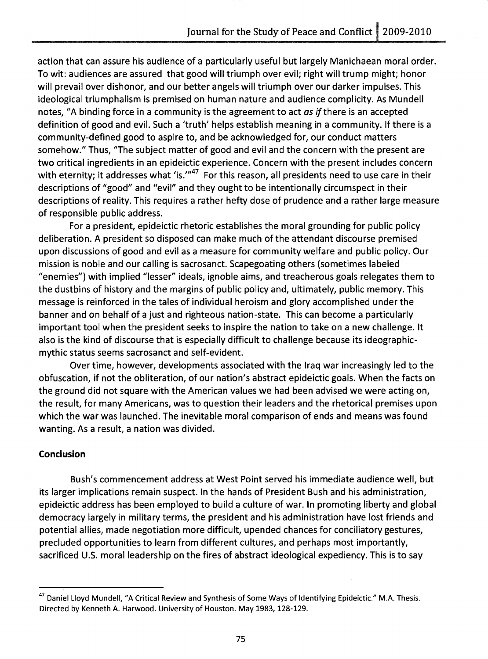action that can assure his audience of a particularly useful but largely Manichaean moral order. To wit: audiences are assured that good will triumph over evil; right will trump might; honor will prevail over dishonor, and our better angels will triumph over our darker impulses. This ideological triumphalism is premised on human nature and audience complicity. As Mundell notes, "A binding force in a community is the agreement to act *as if* there is an accepted definition of good and evil. Such a 'truth' helps establish meaning in a community. If there is a community-defined good to aspire to, and be acknowledged for, our conduct matters somehow." Thus, "The subject matter of good and evil and the concern with the present are two critical ingredients in an epideictic experience. Concern with the present includes concern with eternity; it addresses what 'is." $147$  For this reason, all presidents need to use care in their descriptions of "good" and "evil" and they ought to be intentionally circumspect in their descriptions of reality. This requires a rather hefty dose of prudence and a rather large measure of responsible public address.

For a president, epideictic rhetoric establishes the moral grounding for public policy deliberation. A president so disposed can make much of the attendant discourse premised upon discussions of good and evil as a measure for community welfare and public policy. Our mission is noble and our calling is sacrosanct. Scapegoating others (sometimes labeled "enemies") with implied "lesser" ideals, ignoble aims, and treacherous goals relegates them to the dustbins of history and the margins of public policy and, ultimately, public memory. This message is reinforced in the tales of individual heroism and glory accomplished under the banner and on behalf of a just and righteous nation-state. This can become a particularly important tool when the president seeks to inspire the nation to take on a new challenge. It also is the kind of discourse that is especially difficult to challenge because its ideographicmythic status seems sacrosanct and self-evident.

Over time, however, developments associated with the Iraq war increasingly led to the obfuscation, if not the obliteration, of our nation's abstract epideictic goals. When the facts on the ground did not square with the American values we had been advised we were acting on, the result, for many Americans, was to question their leaders and the rhetorical premises upon which the war was launched. The inevitable moral comparison of ends and means was found wanting. As a result, a nation was divided.

# **Conclusion**

Bush's commencement address at West Point served his immediate audience well, but its larger implications remain suspect. In the hands of President Bush and his administration, epideictic address has been employed to build a culture of war. In promoting liberty and global democracy largely in military terms, the president and his administration have lost friends and potential allies, made negotiation more difficult, upended chances for conciliatory gestures, precluded opportunities to learn from different cultures, and perhaps most importantly, sacrificed U.S. moral leadership on the fires of abstract ideological expediency. This is to say

<sup>&</sup>lt;sup>47</sup> Daniel Lloyd Mundell, "A Critical Review and Synthesis of Some Ways of Identifying Epideictic." M.A. Thesis. Directed by Kenneth A. Harwood. University of Houston. May 1983, 128-129.